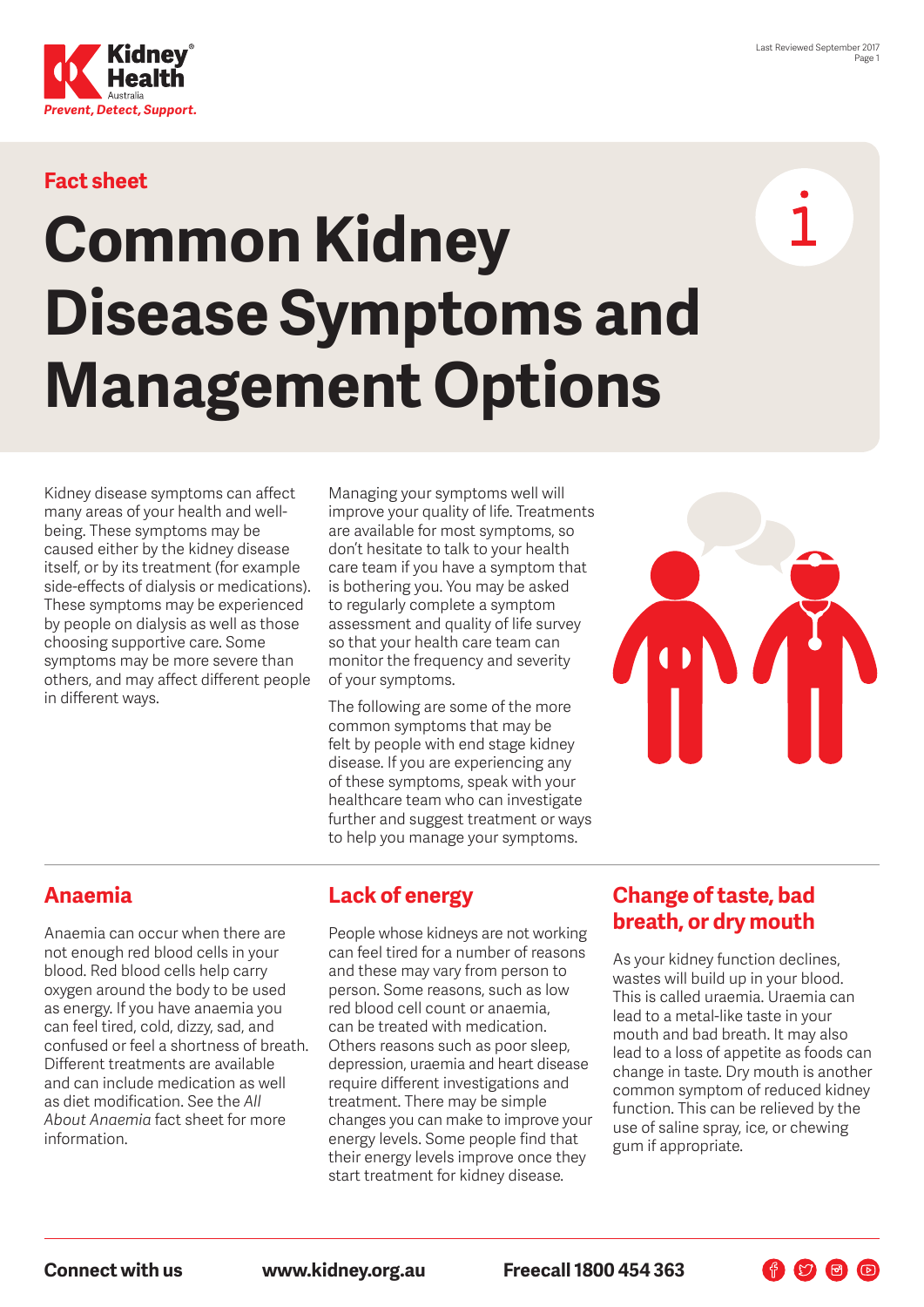

### **Fact sheet**

# **Common Kidney Disease Symptoms and Management Options**

Kidney disease symptoms can affect many areas of your health and wellbeing. These symptoms may be caused either by the kidney disease itself, or by its treatment (for example side-effects of dialysis or medications). These symptoms may be experienced by people on dialysis as well as those choosing supportive care. Some symptoms may be more severe than others, and may affect different people in different ways.

Managing your symptoms well will improve your quality of life. Treatments are available for most symptoms, so don't hesitate to talk to your health care team if you have a symptom that is bothering you. You may be asked to regularly complete a symptom assessment and quality of life survey so that your health care team can monitor the frequency and severity of your symptoms.

The following are some of the more common symptoms that may be felt by people with end stage kidney disease. If you are experiencing any of these symptoms, speak with your healthcare team who can investigate further and suggest treatment or ways to help you manage your symptoms.



#### **Anaemia**

Anaemia can occur when there are not enough red blood cells in your blood. Red blood cells help carry oxygen around the body to be used as energy. If you have anaemia you can feel tired, cold, dizzy, sad, and confused or feel a shortness of breath. Different treatments are available and can include medication as well as diet modification. See the *All About Anaemia* fact sheet for more information.

## **Lack of energy**

People whose kidneys are not working can feel tired for a number of reasons and these may vary from person to person. Some reasons, such as low red blood cell count or anaemia, can be treated with medication. Others reasons such as poor sleep, depression, uraemia and heart disease require different investigations and treatment. There may be simple changes you can make to improve your energy levels. Some people find that their energy levels improve once they start treatment for kidney disease.

#### **Change of taste, bad breath, or dry mouth**

As your kidney function declines, wastes will build up in your blood. This is called uraemia. Uraemia can lead to a metal-like taste in your mouth and bad breath. It may also lead to a loss of appetite as foods can change in taste. Dry mouth is another common symptom of reduced kidney function. This can be relieved by the use of saline spray, ice, or chewing gum if appropriate.

作幻日回

**Connect with us www.kidney.org.au Freecall 1800 454 363**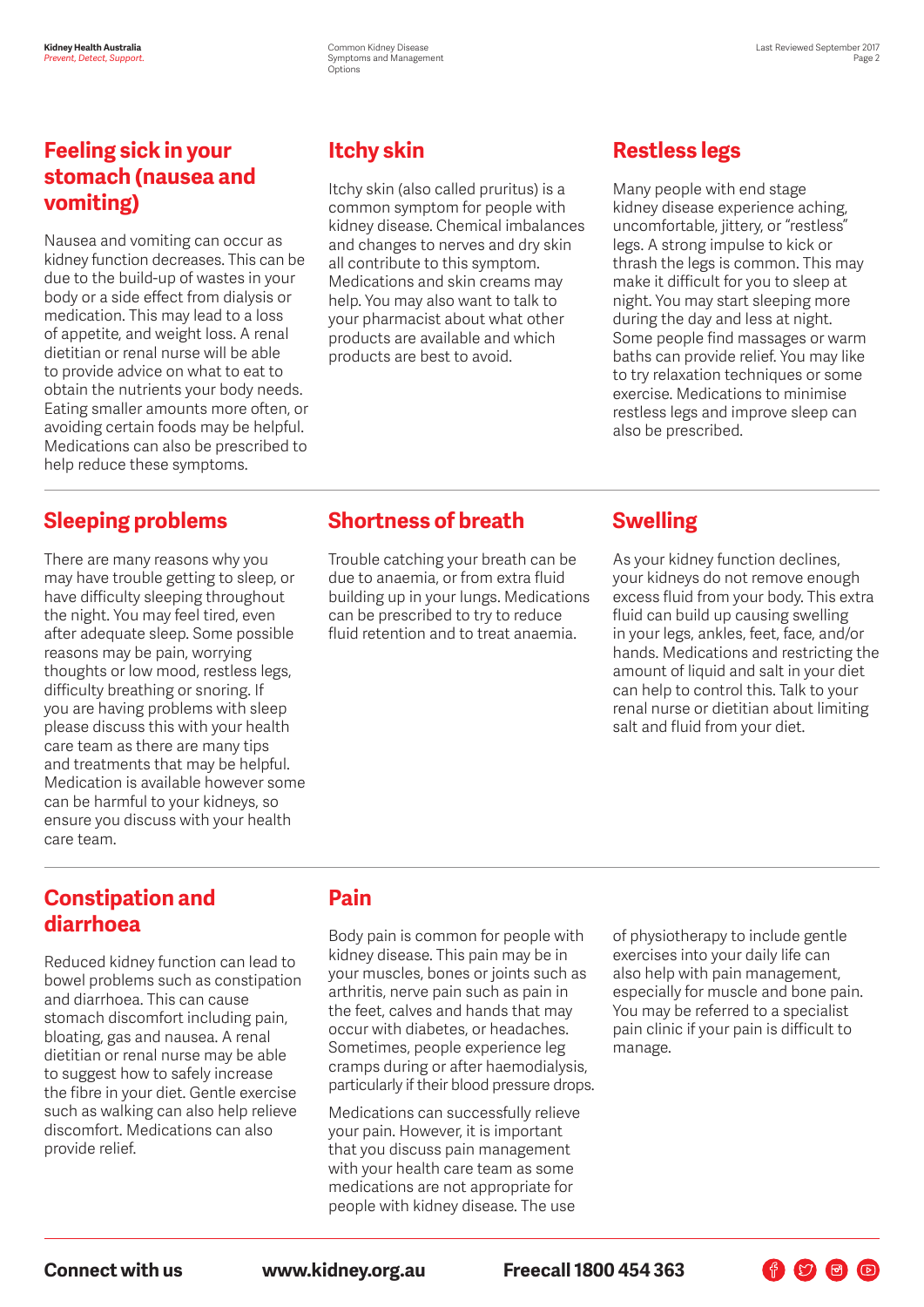#### **Feeling sick in your stomach (nausea and vomiting)**

Nausea and vomiting can occur as kidney function decreases. This can be due to the build-up of wastes in your body or a side effect from dialysis or medication. This may lead to a loss of appetite, and weight loss. A renal dietitian or renal nurse will be able to provide advice on what to eat to obtain the nutrients your body needs. Eating smaller amounts more often, or avoiding certain foods may be helpful. Medications can also be prescribed to help reduce these symptoms.

#### **Sleeping problems**

There are many reasons why you may have trouble getting to sleep, or have difficulty sleeping throughout the night. You may feel tired, even after adequate sleep. Some possible reasons may be pain, worrying thoughts or low mood, restless legs, difficulty breathing or snoring. If you are having problems with sleep please discuss this with your health care team as there are many tips and treatments that may be helpful. Medication is available however some can be harmful to your kidneys, so ensure you discuss with your health care team.

## **Itchy skin**

Itchy skin (also called pruritus) is a common symptom for people with kidney disease. Chemical imbalances and changes to nerves and dry skin all contribute to this symptom. Medications and skin creams may help. You may also want to talk to your pharmacist about what other products are available and which products are best to avoid.

## **Restless legs**

Many people with end stage kidney disease experience aching, uncomfortable, jittery, or "restless" legs. A strong impulse to kick or thrash the legs is common. This may make it difficult for you to sleep at night. You may start sleeping more during the day and less at night. Some people find massages or warm baths can provide relief. You may like to try relaxation techniques or some exercise. Medications to minimise restless legs and improve sleep can also be prescribed.

#### **Shortness of breath**

Trouble catching your breath can be due to anaemia, or from extra fluid building up in your lungs. Medications can be prescribed to try to reduce fluid retention and to treat anaemia.

#### **Swelling**

As your kidney function declines, your kidneys do not remove enough excess fluid from your body. This extra fluid can build up causing swelling in your legs, ankles, feet, face, and/or hands. Medications and restricting the amount of liquid and salt in your diet can help to control this. Talk to your renal nurse or dietitian about limiting salt and fluid from your diet.

#### **Constipation and diarrhoea**

Reduced kidney function can lead to bowel problems such as constipation and diarrhoea. This can cause stomach discomfort including pain, bloating, gas and nausea. A renal dietitian or renal nurse may be able to suggest how to safely increase the fibre in your diet. Gentle exercise such as walking can also help relieve discomfort. Medications can also provide relief.

## **Pain**

Body pain is common for people with kidney disease. This pain may be in your muscles, bones or joints such as arthritis, nerve pain such as pain in the feet, calves and hands that may occur with diabetes, or headaches. Sometimes, people experience leg cramps during or after haemodialysis, particularly if their blood pressure drops.

Medications can successfully relieve your pain. However, it is important that you discuss pain management with your health care team as some medications are not appropriate for people with kidney disease. The use

of physiotherapy to include gentle exercises into your daily life can also help with pain management, especially for muscle and bone pain. You may be referred to a specialist pain clinic if your pain is difficult to manage.

 $\begin{picture}(160,17)(-10,17)(-10,17)(-10,17)(-10,17)(-10,17)(-10,17)(-10,17)(-10,17)(-10,17)(-10,17)(-10,17)(-10,17)(-10,17)(-10,17)(-10,17)(-10,17)(-10,17)(-10,17)(-10,17)(-10,17)(-10,17)(-10,17)(-10,17)(-10,17)(-10,17)(-10,17)(-10,17)(-10,17)(-10,17)(-10,1$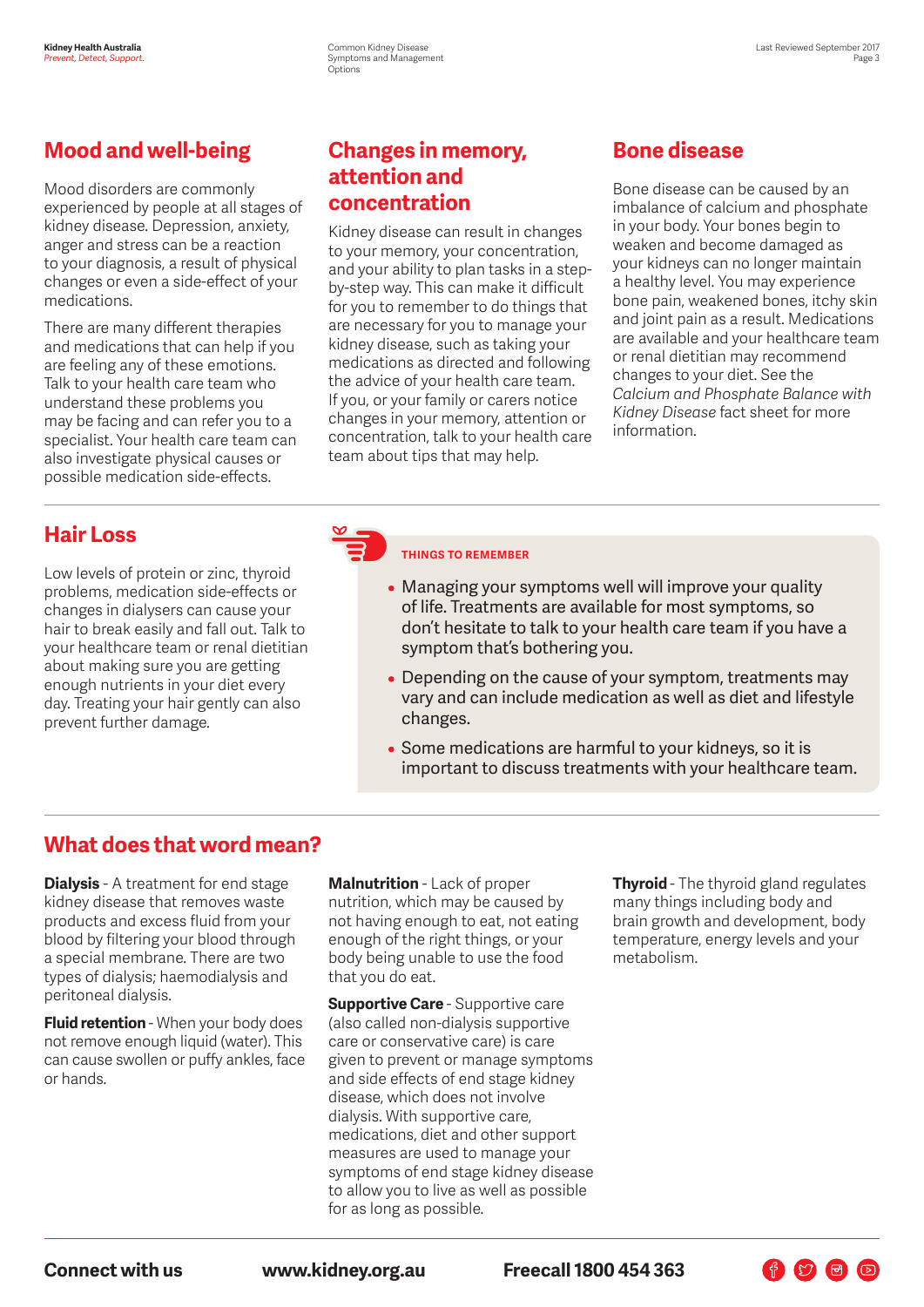#### **Mood and well-being**

Mood disorders are commonly experienced by people at all stages of kidney disease. Depression, anxiety, anger and stress can be a reaction to your diagnosis, a result of physical changes or even a side-effect of your medications.

There are many different therapies and medications that can help if you are feeling any of these emotions. Talk to your health care team who understand these problems you may be facing and can refer you to a specialist. Your health care team can also investigate physical causes or possible medication side-effects.

#### **Changes in memory, attention and concentration**

Kidney disease can result in changes to your memory, your concentration, and your ability to plan tasks in a stepby-step way. This can make it difficult for you to remember to do things that are necessary for you to manage your kidney disease, such as taking your medications as directed and following the advice of your health care team. If you, or your family or carers notice changes in your memory, attention or concentration, talk to your health care team about tips that may help.

## **Bone disease**

Bone disease can be caused by an imbalance of calcium and phosphate in your body. Your bones begin to weaken and become damaged as your kidneys can no longer maintain a healthy level. You may experience bone pain, weakened bones, itchy skin and joint pain as a result. Medications are available and your healthcare team or renal dietitian may recommend changes to your diet. See the *Calcium and Phosphate Balance with Kidney Disease* fact sheet for more information.

#### **Hair Loss**

Low levels of protein or zinc, thyroid problems, medication side-effects or changes in dialysers can cause your hair to break easily and fall out. Talk to your healthcare team or renal dietitian about making sure you are getting enough nutrients in your diet every day. Treating your hair gently can also prevent further damage.

#### **THINGS TO REMEMBER**

- Managing your symptoms well will improve your quality of life. Treatments are available for most symptoms, so don't hesitate to talk to your health care team if you have a symptom that's bothering you.
- Depending on the cause of your symptom, treatments may vary and can include medication as well as diet and lifestyle changes.
- Some medications are harmful to your kidneys, so it is important to discuss treatments with your healthcare team.

#### **What does that word mean?**

**Dialysis** - A treatment for end stage kidney disease that removes waste products and excess fluid from your blood by filtering your blood through a special membrane. There are two types of dialysis; haemodialysis and peritoneal dialysis.

**Fluid retention** - When your body does not remove enough liquid (water). This can cause swollen or puffy ankles, face or hands.

**Malnutrition** - Lack of proper nutrition, which may be caused by not having enough to eat, not eating enough of the right things, or your body being unable to use the food that you do eat.

**Supportive Care** - Supportive care (also called non-dialysis supportive care or conservative care) is care given to prevent or manage symptoms and side effects of end stage kidney disease, which does not involve dialysis. With supportive care, medications, diet and other support measures are used to manage your symptoms of end stage kidney disease to allow you to live as well as possible for as long as possible.

**Thyroid** - The thyroid gland regulates many things including body and brain growth and development, body temperature, energy levels and your metabolism.

 $\begin{picture}(160,17)(-10,17)(-10,17)(-10,17)(-10,17)(-10,17)(-10,17)(-10,17)(-10,17)(-10,17)(-10,17)(-10,17)(-10,17)(-10,17)(-10,17)(-10,17)(-10,17)(-10,17)(-10,17)(-10,17)(-10,17)(-10,17)(-10,17)(-10,17)(-10,17)(-10,17)(-10,17)(-10,17)(-10,17)(-10,17)(-10,1$